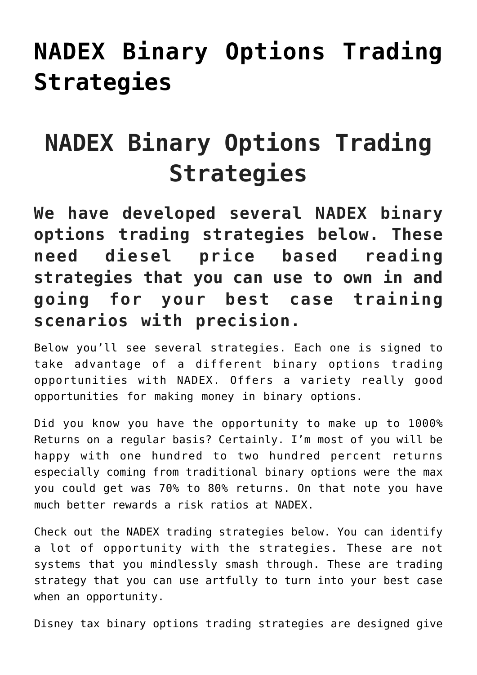## **[NADEX Binary Options Trading](https://binaryoptionsauthority.com/nadex-binary-options-trading-strategies/) [Strategies](https://binaryoptionsauthority.com/nadex-binary-options-trading-strategies/)**

## **NADEX Binary Options Trading Strategies**

**We have developed several NADEX binary options trading strategies below. These need diesel price based reading strategies that you can use to own in and going for your best case training scenarios with precision.**

Below you'll see several strategies. Each one is signed to take advantage of a different binary options trading opportunities with NADEX. Offers a variety really good opportunities for making money in binary options.

Did you know you have the opportunity to make up to 1000% Returns on a regular basis? Certainly. I'm most of you will be happy with one hundred to two hundred percent returns especially coming from traditional binary options were the max you could get was 70% to 80% returns. On that note you have much better rewards a risk ratios at NADEX.

Check out the NADEX trading strategies below. You can identify a lot of opportunity with the strategies. These are not systems that you mindlessly smash through. These are trading strategy that you can use artfully to turn into your best case when an opportunity.

Disney tax binary options trading strategies are designed give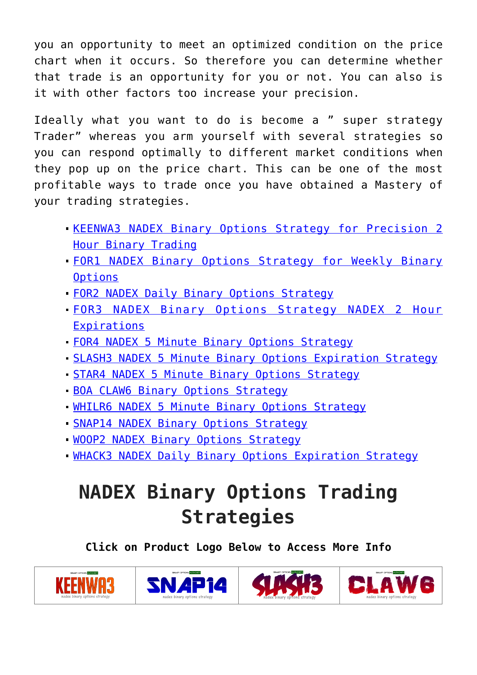you an opportunity to meet an optimized condition on the price chart when it occurs. So therefore you can determine whether that trade is an opportunity for you or not. You can also is it with other factors too increase your precision.

Ideally what you want to do is become a " super strategy Trader" whereas you arm yourself with several strategies so you can respond optimally to different market conditions when they pop up on the price chart. This can be one of the most profitable ways to trade once you have obtained a Mastery of your trading strategies.

- **[KEENWA3 NADEX Binary Options Strategy for Precision 2](https://binaryoptionsauthority.com/keenwa3-nadex-binary-options-strategy-precision-2-hour-binary-trading/)** [Hour Binary Trading](https://binaryoptionsauthority.com/keenwa3-nadex-binary-options-strategy-precision-2-hour-binary-trading/)
- [FOR1 NADEX Binary Options Strategy for Weekly Binary](https://binaryoptionsauthority.com/for1-nadex-binary-options-strategy-weekly-binary-options/) **[Options](https://binaryoptionsauthority.com/for1-nadex-binary-options-strategy-weekly-binary-options/)**
- [FOR2 NADEX Daily Binary Options Strategy](https://binaryoptionsauthority.com/4682-2/)
- [FOR3 NADEX Binary Options Strategy NADEX 2 Hour](https://binaryoptionsauthority.com/for3-nadex-binary-options-strategy-nadex-2-hour-expirations/) [Expirations](https://binaryoptionsauthority.com/for3-nadex-binary-options-strategy-nadex-2-hour-expirations/)
- [FOR4 NADEX 5 Minute Binary Options Strategy](https://binaryoptionsauthority.com/for4-nadex-5-minute-binary-options-strategy/)
- [SLASH3 NADEX 5 Minute Binary Options Expiration Strategy](https://binaryoptionsauthority.com/slash3-nadex-5-minute-binary-options-expiration-strategy/)
- [STAR4 NADEX 5 Minute Binary Options Strategy](https://binaryoptionsauthority.com/star4-nadex-5-minute-binary-options-strategy/)
- [BOA CLAW6 Binary Options Strategy](https://binaryoptionsauthority.com/boa-claw6-binary-options-strategy/)
- [WHILR6 NADEX 5 Minute Binary Options Strategy](https://binaryoptionsauthority.com/whilr6-nadex-5-minute-binary-options-strategy/)
- **[SNAP14 NADEX Binary Options Strategy](https://binaryoptionsauthority.com/snap14-nadex-binary-options-strategy/)**
- **[WOOP2 NADEX Binary Options Strategy](https://binaryoptionsauthority.com/woop2-nadex-binary-options-strategy/)**
- **[WHACK3 NADEX Daily Binary Options Expiration Strategy](https://binaryoptionsauthority.com/whack3-nadex-daily-binary-options-expiration-strategy/)**

## **NADEX Binary Options Trading Strategies**

**Click on Product Logo Below to Access More Info**